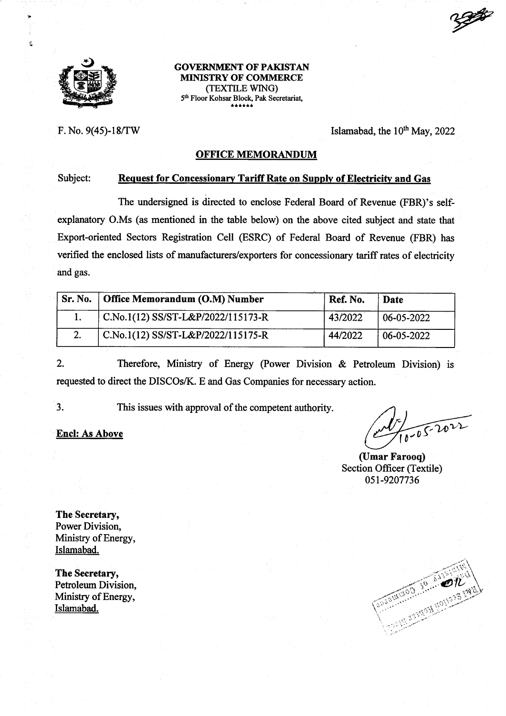

Ê

GOVERNMENT OF PAKISTAN MINISTRY OF COMMERCE (TEXTILE WING) 5<sup>th</sup> Floor Kohsar Block, Pak Secretariat,

F. No. 9(45)-18/TW Islamabad, the  $10^{th}$  May, 2022

## OFFICE MEMORANDUM

#### Subject: Request for Concessionary Tariff Rate on Supply of Electricity and Gas

The undersigned is directed to enclose Federal Board of Revenue (FBR)'s selfexplanatory O.Ms (as mentioned in the table below) on the above cited subject and state that Export-oriented Sectors Registration Cell (ESRC) of Federal Board of Revenue (FBR) has verified the enclosed lists of manufacturers/exporters for concessionary tariff rates of electricity and gas.

|    | Sr. No.   Office Memorandum (O.M) Number | Ref. No. | Date             |
|----|------------------------------------------|----------|------------------|
|    | C.No.1(12) SS/ST-L&P/2022/115173-R       | 43/2022  | $06 - 05 - 2022$ |
| 2. | C.No.1(12) SS/ST-L&P/2022/115175-R       | 44/2022  | 06-05-2022       |

2. Therefore, Ministry of Energy (Power Division & Petroleum Division) is requested to direct the DISCOs/K. E and Gas Companies for necessary action.

This issues with approval of the competent authority.

3.

Encl: As Above  $\left(\sqrt{\frac{1}{10}}\right)^{1/2}$ 

(Umar Farooq) Section Officer (Textile) 0st-9207736

The Secretary, Power Division, Ministry of Energy, Islamabad.

The Secretary, Petroleum Division, Ministry of Energy, Islamabad.

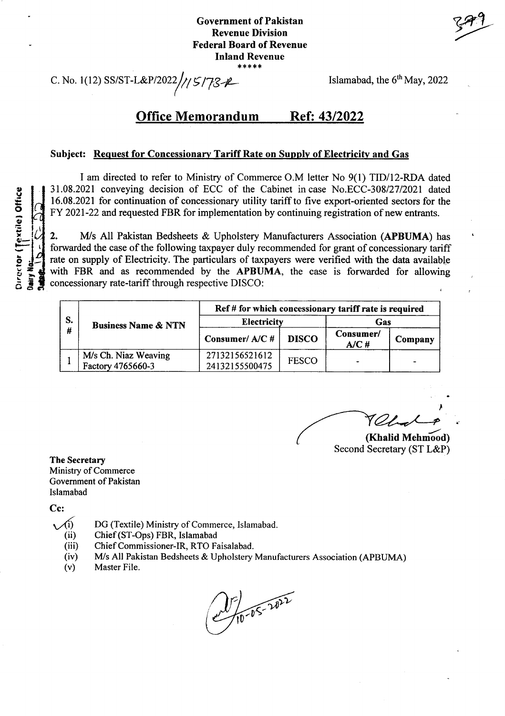## Government of Pakistan Revenue Division Federal Board of Revenue Inland Revenue \*\*\*\*\*

C. No. 1(12) SS/ST-L&P/2022// $/5/78$   $\ell$  Islamabad, the 6<sup>th</sup> May, 2022

## Office Memorandum Ref: 43/2022

### Subject: Request for Concessionary Tariff Rate on Sunplv of Electricitv and Gas

I am directed to refer to Ministry of Commerce O.M letter No 9(l) TID/I2-RDA dated 31.08.2021 conveying decision of ECC of the Cabinet incase No.ECC-30812712021 dated 16.08.2021 for continuation of concessionary utility tariffto five export-oriented sectors for the FY 2021-22 and requested FBR for implementation by continuing registration of new entrants.

2. M/s All Pakistan Bedsheets & Upholstery Manufacturers Association (APBUMA) has forwarded the case of the following taxpayer duly recommended for grant of concessionary tariff rate on supply of Electricity. The particulars of taxpayers were verified with the data available with FBR and as recommended by the APBUMA, the case is forwarded for allowing concessionary rate-tariff through respective DISCO:

| S.<br># | <b>Business Name &amp; NTN</b>            | Ref # for which concessionary tariff rate is required |              |                   |         |  |
|---------|-------------------------------------------|-------------------------------------------------------|--------------|-------------------|---------|--|
|         |                                           | <b>Electricity</b>                                    |              | Gas               |         |  |
|         |                                           | Consumer/A/C#                                         | <b>DISCO</b> | Consumer/<br>A/CH | Company |  |
|         | M/s Ch. Niaz Weaving<br>Factory 4765660-3 | 27132156521612<br>24132155500475                      | <b>FESCO</b> | $\sim$            |         |  |

I

(Khalid Mehmood) Second Secretary (ST L&P)

The Secretary Ministry of Commerce Government of Pakistan Islamabad

Cc:

- $\sqrt{(i)}$  DG (Textile) Ministry of Commerce, Islamabad.
	- Chief (ST-Ops) FBR, Islamabad (ii)
	- Chief Commissioner-IR, RTO Faisalabad.  $(iii)$
	- M/s All Pakistan Bedsheets & Upholstery Manufacturers Association (APBUMA) (iv)
	- Master File. (v)

 $25 - 10 - 10 = 2022$ 

ile) Off<br>Contract<br>Contract  $\frac{1}{2}$  $\frac{1}{6}$  $\frac{1}{8}$  $\frac{1}{6}$